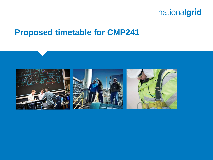

#### **Proposed timetable for CMP241**

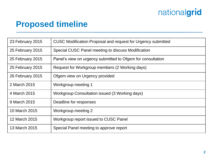# nationalgrid

## **Proposed timeline**

| 23 February 2015 | <b>CUSC Modification Proposal and request for Urgency submitted</b> |
|------------------|---------------------------------------------------------------------|
| 25 February 2015 | Special CUSC Panel meeting to discuss Modification                  |
| 25 February 2015 | Panel's view on urgency submitted to Ofgem for consultation         |
| 25 February 2015 | Request for Workgroup members (2 Working days)                      |
| 26 February 2015 | Ofgem view on Urgency provided                                      |
| 2 March 2015     | Workgroup meeting 1                                                 |
| 4 March 2015     | Workgroup Consultation issued (3 Working days)                      |
| 9 March 2015     | Deadline for responses                                              |
| 10 March 2015    | Workgroup meeting 2                                                 |
| 12 March 2015    | Workgroup report issued to CUSC Panel                               |
| 13 March 2015    | Special Panel meeting to approve report                             |